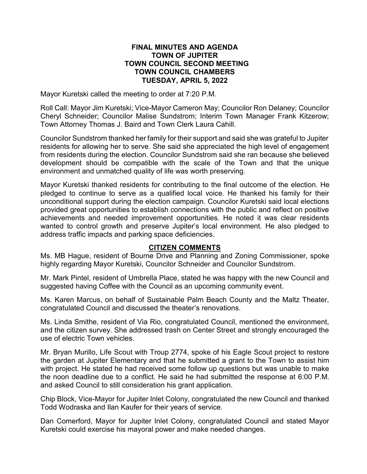#### **FINAL MINUTES AND AGENDA TOWN OF JUPITER TOWN COUNCIL SECOND MEETING TOWN COUNCIL CHAMBERS TUESDAY, APRIL 5, 2022**

Mayor Kuretski called the meeting to order at 7:20 P.M.

Roll Call: Mayor Jim Kuretski; Vice-Mayor Cameron May; Councilor Ron Delaney; Councilor Cheryl Schneider; Councilor Malise Sundstrom; Interim Town Manager Frank Kitzerow; Town Attorney Thomas J. Baird and Town Clerk Laura Cahill.

Councilor Sundstrom thanked her family for their support and said she was grateful to Jupiter residents for allowing her to serve. She said she appreciated the high level of engagement from residents during the election. Councilor Sundstrom said she ran because she believed development should be compatible with the scale of the Town and that the unique environment and unmatched quality of life was worth preserving.

Mayor Kuretski thanked residents for contributing to the final outcome of the election. He pledged to continue to serve as a qualified local voice. He thanked his family for their unconditional support during the election campaign. Councilor Kuretski said local elections provided great opportunities to establish connections with the public and reflect on positive achievements and needed improvement opportunities. He noted it was clear residents wanted to control growth and preserve Jupiter's local environment. He also pledged to address traffic impacts and parking space deficiencies.

## **CITIZEN COMMENTS**

Ms. MB Hague, resident of Bourne Drive and Planning and Zoning Commissioner, spoke highly regarding Mayor Kuretski, Councilor Schneider and Councilor Sundstrom.

Mr. Mark Pintel, resident of Umbrella Place, stated he was happy with the new Council and suggested having Coffee with the Council as an upcoming community event.

Ms. Karen Marcus, on behalf of Sustainable Palm Beach County and the Maltz Theater, congratulated Council and discussed the theater's renovations.

Ms. Linda Smithe, resident of Via Rio, congratulated Council, mentioned the environment, and the citizen survey. She addressed trash on Center Street and strongly encouraged the use of electric Town vehicles.

Mr. Bryan Murillo, Life Scout with Troup 2774, spoke of his Eagle Scout project to restore the garden at Jupiter Elementary and that he submitted a grant to the Town to assist him with project. He stated he had received some follow up questions but was unable to make the noon deadline due to a conflict. He said he had submitted the response at 6:00 P.M. and asked Council to still consideration his grant application.

Chip Block, Vice-Mayor for Jupiter Inlet Colony, congratulated the new Council and thanked Todd Wodraska and Ilan Kaufer for their years of service.

Dan Comerford, Mayor for Jupiter Inlet Colony, congratulated Council and stated Mayor Kuretski could exercise his mayoral power and make needed changes.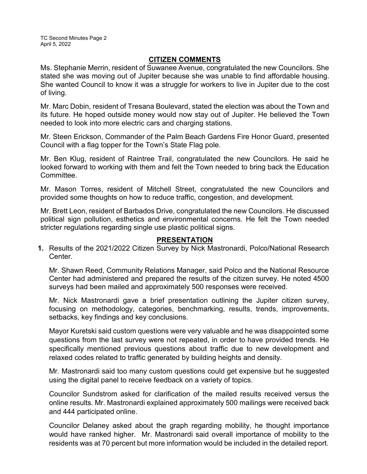TC Second Minutes Page 2 April 5, 2022

#### **CITIZEN COMMENTS**

Ms. Stephanie Merrin, resident of Suwanee Avenue, congratulated the new Councilors. She stated she was moving out of Jupiter because she was unable to find affordable housing. She wanted Council to know it was a struggle for workers to live in Jupiter due to the cost of living.

Mr. Marc Dobin, resident of Tresana Boulevard, stated the election was about the Town and its future. He hoped outside money would now stay out of Jupiter. He believed the Town needed to look into more electric cars and charging stations.

Mr. Steen Erickson, Commander of the Palm Beach Gardens Fire Honor Guard, presented Council with a flag topper for the Town's State Flag pole.

Mr. Ben Klug, resident of Raintree Trail, congratulated the new Councilors. He said he looked forward to working with them and felt the Town needed to bring back the Education Committee.

Mr. Mason Torres, resident of Mitchell Street, congratulated the new Councilors and provided some thoughts on how to reduce traffic, congestion, and development.

Mr. Brett Leon, resident of Barbados Drive, congratulated the new Councilors. He discussed political sign pollution, esthetics and environmental concerns. He felt the Town needed stricter regulations regarding single use plastic political signs.

#### **PRESENTATION**

**1.** Results of the 2021/2022 Citizen Survey by Nick Mastronardi, Polco/National Research Center.

Mr. Shawn Reed, Community Relations Manager, said Polco and the National Resource Center had administered and prepared the results of the citizen survey. He noted 4500 surveys had been mailed and approximately 500 responses were received.

Mr. Nick Mastronardi gave a brief presentation outlining the Jupiter citizen survey, focusing on methodology, categories, benchmarking, results, trends, improvements, setbacks, key findings and key conclusions.

Mayor Kuretski said custom questions were very valuable and he was disappointed some questions from the last survey were not repeated, in order to have provided trends. He specifically mentioned previous questions about traffic due to new development and relaxed codes related to traffic generated by building heights and density.

Mr. Mastronardi said too many custom questions could get expensive but he suggested using the digital panel to receive feedback on a variety of topics.

Councilor Sundstrom asked for clarification of the mailed results received versus the online results. Mr. Mastronardi explained approximately 500 mailings were received back and 444 participated online.

Councilor Delaney asked about the graph regarding mobility, he thought importance would have ranked higher. Mr. Mastronardi said overall importance of mobility to the residents was at 70 percent but more information would be included in the detailed report.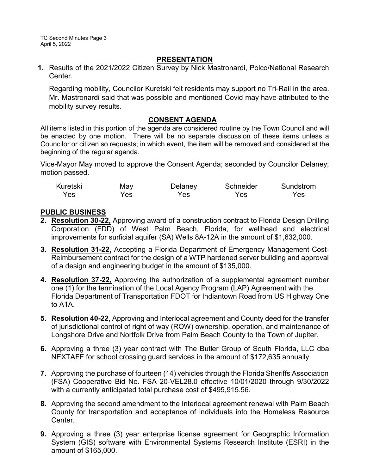#### **PRESENTATION**

**1.** Results of the 2021/2022 Citizen Survey by Nick Mastronardi, Polco/National Research Center.

Regarding mobility, Councilor Kuretski felt residents may support no Tri-Rail in the area. Mr. Mastronardi said that was possible and mentioned Covid may have attributed to the mobility survey results.

# **CONSENT AGENDA**

All items listed in this portion of the agenda are considered routine by the Town Council and will be enacted by one motion. There will be no separate discussion of these items unless a Councilor or citizen so requests; in which event, the item will be removed and considered at the beginning of the regular agenda.

Vice-Mayor May moved to approve the Consent Agenda; seconded by Councilor Delaney; motion passed.

| Kuretski | May  | Delaney | Schneider | Sundstrom |
|----------|------|---------|-----------|-----------|
| Yes      | Yes. | Yes     | Yes       | Yes.      |

# **PUBLIC BUSINESS**

- **2. Resolution 30-22,** Approving award of a construction contract to Florida Design Drilling Corporation (FDD) of West Palm Beach, Florida, for wellhead and electrical improvements for surficial aquifer (SA) Wells 8A-12A in the amount of \$1,632,000.
- **3. Resolution 31-22,** Accepting a Florida Department of Emergency Management Cost-Reimbursement contract for the design of a WTP hardened server building and approval of a design and engineering budget in the amount of \$135,000.
- **4. Resolution 37-22,** Approving the authorization of a supplemental agreement number one (1) for the termination of the Local Agency Program (LAP) Agreement with the Florida Department of Transportation FDOT for Indiantown Road from US Highway One to A1A.
- **5. Resolution 40-22**, Approving and Interlocal agreement and County deed for the transfer of jurisdictional control of right of way (ROW) ownership, operation, and maintenance of Longshore Drive and Nortfolk Drive from Palm Beach County to the Town of Jupiter.
- **6.** Approving a three (3) year contract with The Butler Group of South Florida, LLC dba NEXTAFF for school crossing guard services in the amount of \$172,635 annually.
- **7.** Approving the purchase of fourteen (14) vehicles through the Florida Sheriffs Association (FSA) Cooperative Bid No. FSA 20-VEL28.0 effective 10/01/2020 through 9/30/2022 with a currently anticipated total purchase cost of \$495,915.56.
- **8.** Approving the second amendment to the Interlocal agreement renewal with Palm Beach County for transportation and acceptance of individuals into the Homeless Resource Center.
- **9.** Approving a three (3) year enterprise license agreement for Geographic Information System (GIS) software with Environmental Systems Research Institute (ESRI) in the amount of \$165,000.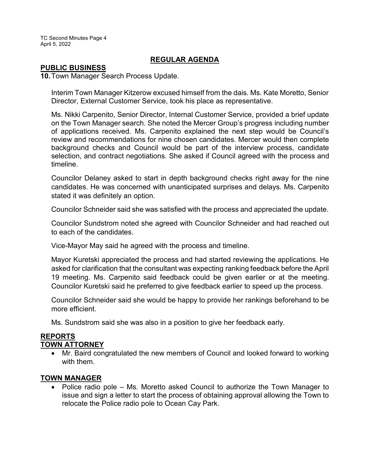TC Second Minutes Page 4 April 5, 2022

## **REGULAR AGENDA**

#### **PUBLIC BUSINESS**

**10.**Town Manager Search Process Update.

Interim Town Manager Kitzerow excused himself from the dais. Ms. Kate Moretto, Senior Director, External Customer Service, took his place as representative.

Ms. Nikki Carpenito, Senior Director, Internal Customer Service, provided a brief update on the Town Manager search. She noted the Mercer Group's progress including number of applications received. Ms. Carpenito explained the next step would be Council's review and recommendations for nine chosen candidates. Mercer would then complete background checks and Council would be part of the interview process, candidate selection, and contract negotiations. She asked if Council agreed with the process and timeline.

Councilor Delaney asked to start in depth background checks right away for the nine candidates. He was concerned with unanticipated surprises and delays. Ms. Carpenito stated it was definitely an option.

Councilor Schneider said she was satisfied with the process and appreciated the update.

Councilor Sundstrom noted she agreed with Councilor Schneider and had reached out to each of the candidates.

Vice-Mayor May said he agreed with the process and timeline.

Mayor Kuretski appreciated the process and had started reviewing the applications. He asked for clarification that the consultant was expecting ranking feedback before the April 19 meeting. Ms. Carpenito said feedback could be given earlier or at the meeting. Councilor Kuretski said he preferred to give feedback earlier to speed up the process.

Councilor Schneider said she would be happy to provide her rankings beforehand to be more efficient.

Ms. Sundstrom said she was also in a position to give her feedback early.

#### **REPORTS TOWN ATTORNEY**

· Mr. Baird congratulated the new members of Council and looked forward to working with them.

## **TOWN MANAGER**

· Police radio pole – Ms. Moretto asked Council to authorize the Town Manager to issue and sign a letter to start the process of obtaining approval allowing the Town to relocate the Police radio pole to Ocean Cay Park.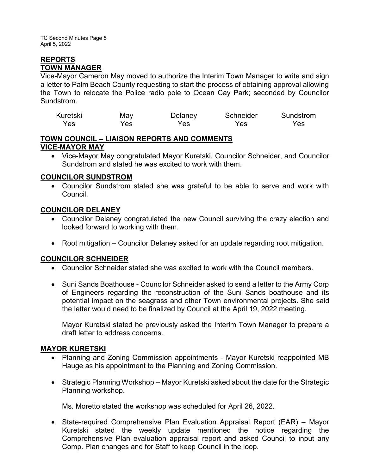TC Second Minutes Page 5 April 5, 2022

## **REPORTS TOWN MANAGER**

Vice-Mayor Cameron May moved to authorize the Interim Town Manager to write and sign a letter to Palm Beach County requesting to start the process of obtaining approval allowing the Town to relocate the Police radio pole to Ocean Cay Park; seconded by Councilor Sundstrom.

| Kuretski | May | Delaney | Schneider | Sundstrom |
|----------|-----|---------|-----------|-----------|
| Yes      | Yes | Yes     | Yes       | Yes       |

#### **TOWN COUNCIL – LIAISON REPORTS AND COMMENTS VICE-MAYOR MAY**

· Vice-Mayor May congratulated Mayor Kuretski, Councilor Schneider, and Councilor Sundstrom and stated he was excited to work with them.

# **COUNCILOR SUNDSTROM**

· Councilor Sundstrom stated she was grateful to be able to serve and work with Council.

# **COUNCILOR DELANEY**

- · Councilor Delaney congratulated the new Council surviving the crazy election and looked forward to working with them.
- · Root mitigation Councilor Delaney asked for an update regarding root mitigation.

# **COUNCILOR SCHNEIDER**

- · Councilor Schneider stated she was excited to work with the Council members.
- · Suni Sands Boathouse Councilor Schneider asked to send a letter to the Army Corp of Engineers regarding the reconstruction of the Suni Sands boathouse and its potential impact on the seagrass and other Town environmental projects. She said the letter would need to be finalized by Council at the April 19, 2022 meeting.

Mayor Kuretski stated he previously asked the Interim Town Manager to prepare a draft letter to address concerns.

## **MAYOR KURETSKI**

- · Planning and Zoning Commission appointments Mayor Kuretski reappointed MB Hauge as his appointment to the Planning and Zoning Commission.
- Strategic Planning Workshop Mayor Kuretski asked about the date for the Strategic Planning workshop.

Ms. Moretto stated the workshop was scheduled for April 26, 2022.

• State-required Comprehensive Plan Evaluation Appraisal Report (EAR) – Mayor Kuretski stated the weekly update mentioned the notice regarding the Comprehensive Plan evaluation appraisal report and asked Council to input any Comp. Plan changes and for Staff to keep Council in the loop.